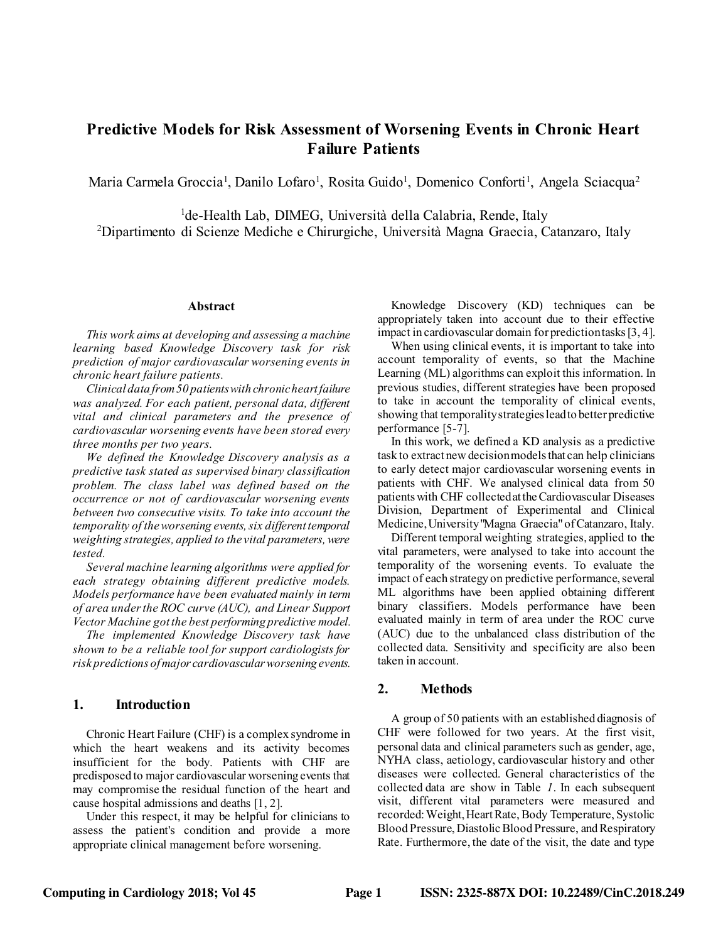# **Predictive Models for Risk Assessment of Worsening Events in Chronic Heart Failure Patients**

Maria Carmela Groccia<sup>1</sup>, Danilo Lofaro<sup>1</sup>, Rosita Guido<sup>1</sup>, Domenico Conforti<sup>1</sup>, Angela Sciacqua<sup>2</sup>

<sup>1</sup>de-Health Lab, DIMEG, Università della Calabria, Rende, Italy <sup>2</sup>Dipartimento di Scienze Mediche e Chirurgiche, Università Magna Graecia, Catanzaro, Italy

#### **Abstract**

*This work aims at developing and assessing a machine learning based Knowledge Discovery task for risk prediction of major cardiovascular worsening events in chronic heart failure patients.*

*Clinical data from 50 patients with chronic heart failure was analyzed. For each patient, personal data, different vital and clinical parameters and the presence of cardiovascular worsening events have been stored every three months per two years.*

*We defined the Knowledge Discovery analysis as a predictive task stated as supervised binary classification problem. The class label was defined based on the occurrence or not of cardiovascular worsening events between two consecutive visits. To take into account the temporality of the worsening events, six different temporal weighting strategies, applied to the vital parameters, were tested.* 

*Several machine learning algorithms were applied for each strategy obtaining different predictive models. Models performance have been evaluated mainly in term of area under the ROC curve (AUC), and Linear Support Vector Machine got the best performing predictive model.*

*The implemented Knowledge Discovery task have shown to be a reliable tool for support cardiologists for risk predictions of major cardiovascular worsening events.*

### **1. Introduction**

Chronic Heart Failure (CHF) is a complex syndrome in which the heart weakens and its activity becomes insufficient for the body. Patients with CHF are predisposed to major cardiovascular worsening events that may compromise the residual function of the heart and cause hospital admissions and deaths [1, 2].

Under this respect, it may be helpful for clinicians to assess the patient's condition and provide a more appropriate clinical management before worsening.

Knowledge Discovery (KD) techniques can be appropriately taken into account due to their effective impact in cardiovascular domain for prediction tasks[3, 4].

When using clinical events, it is important to take into account temporality of events, so that the Machine Learning (ML) algorithms can exploit this information. In previous studies, different strategies have been proposed to take in account the temporality of clinical events, showing that temporality strategies lead to better predictive performance [5-7].

In this work, we defined a KD analysis as a predictive task to extract new decision models that can help clinicians to early detect major cardiovascular worsening events in patients with CHF. We analysed clinical data from 50 patients with CHF collected at the Cardiovascular Diseases Division, Department of Experimental and Clinical Medicine, University "Magna Graecia" of Catanzaro, Italy.

Different temporal weighting strategies, applied to the vital parameters, were analysed to take into account the temporality of the worsening events. To evaluate the impact of each strategy on predictive performance, several ML algorithms have been applied obtaining different binary classifiers. Models performance have been evaluated mainly in term of area under the ROC curve (AUC) due to the unbalanced class distribution of the collected data. Sensitivity and specificity are also been taken in account.

## **2. Methods**

A group of 50 patients with an established diagnosis of CHF were followed for two years. At the first visit, personal data and clinical parameters such as gender, age, NYHA class, aetiology, cardiovascular history and other diseases were collected. General characteristics of the collected data are show in [Table](#page-1-0) *1*. In each subsequent visit, different vital parameters were measured and recorded: Weight, Heart Rate, Body Temperature, Systolic Blood Pressure, Diastolic Blood Pressure, and Respiratory Rate. Furthermore, the date of the visit, the date and type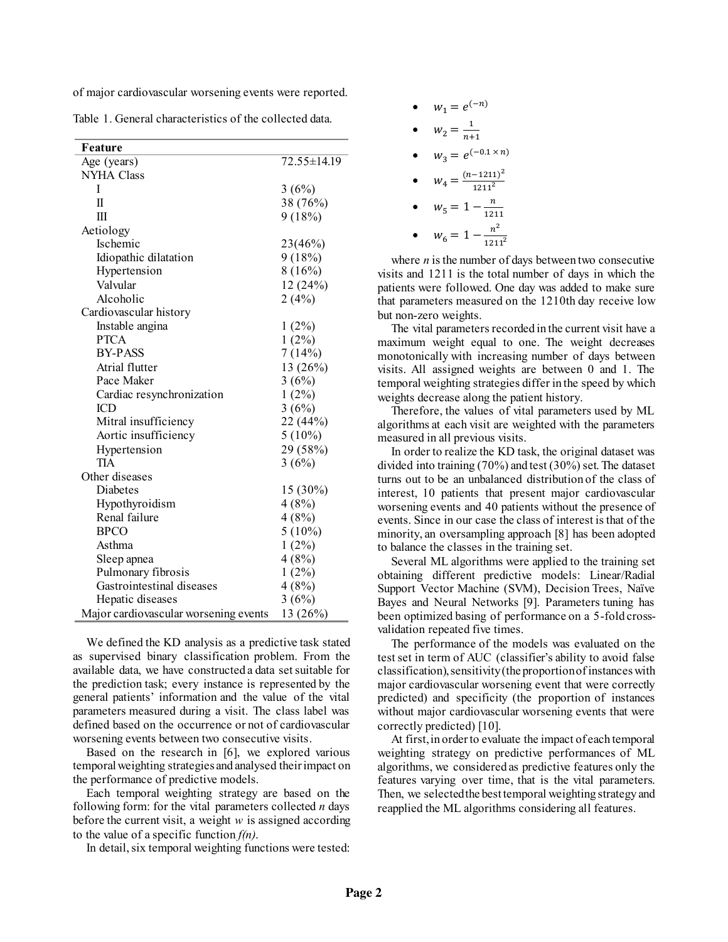of major cardiovascular worsening events were reported.

<span id="page-1-0"></span>

| Table 1. General characteristics of the collected data. |  |
|---------------------------------------------------------|--|
|---------------------------------------------------------|--|

| Feature                               |             |
|---------------------------------------|-------------|
| Age (years)                           | 72.55±14.19 |
| <b>NYHA Class</b>                     |             |
| I                                     | 3(6%)       |
| Π                                     | 38 (76%)    |
| Ш                                     | 9(18%)      |
| Aetiology                             |             |
| Ischemic                              | 23(46%)     |
| Idiopathic dilatation                 | 9(18%)      |
| Hypertension                          | 8(16%)      |
| Valvular                              | 12 (24%)    |
| Alcoholic                             | 2(4%)       |
| Cardiovascular history                |             |
| Instable angina                       | 1(2%)       |
| <b>PTCA</b>                           | $1(2\%)$    |
| <b>BY-PASS</b>                        | 7(14%)      |
| Atrial flutter                        | 13 (26%)    |
| Pace Maker                            | 3(6%)       |
| Cardiac resynchronization             | 1(2%)       |
| ICD                                   | 3(6%)       |
| Mitral insufficiency                  | 22 (44%)    |
| Aortic insufficiency                  | $5(10\%)$   |
| Hypertension                          | 29 (58%)    |
| <b>TIA</b>                            | 3(6%)       |
| Other diseases                        |             |
| Diabetes                              | 15 (30%)    |
| Hypothyroidism                        | 4(8%)       |
| Renal failure                         | 4(8%)       |
| <b>BPCO</b>                           | $5(10\%)$   |
| Asthma                                | $1(2\%)$    |
| Sleep apnea                           | 4(8%)       |
| Pulmonary fibrosis                    | 1(2%)       |
| Gastrointestinal diseases             | 4(8%)       |
| Hepatic diseases                      | 3(6%)       |
| Major cardiovascular worsening events | 13 (26%)    |

We defined the KD analysis as a predictive task stated as supervised binary classification problem. From the available data, we have constructed a data set suitable for the prediction task; every instance is represented by the general patients' information and the value of the vital parameters measured during a visit. The class label was defined based on the occurrence or not of cardiovascular worsening events between two consecutive visits.

Based on the research in [6], we explored various temporal weighting strategies and analysed their impact on the performance of predictive models.

Each temporal weighting strategy are based on the following form: for the vital parameters collected *n* days before the current visit, a weight *w* is assigned according to the value of a specific function *f(n)*.

In detail, six temporal weighting functions were tested:

| $W_1 = e^{(-n)}$                  |
|-----------------------------------|
| $W_2 = \frac{1}{n+1}$             |
| $W_3 = e^{(-0.1 \times n)}$       |
| $W_4 = \frac{(n-1211)^2}{1211^2}$ |
| $w_5 = 1 - \frac{n}{1211}$        |
| $W_6 = 1$<br>121                  |

where  $n$  is the number of days between two consecutive visits and 1211 is the total number of days in which the patients were followed. One day was added to make sure that parameters measured on the 1210th day receive low but non-zero weights.

The vital parameters recorded in the current visit have a maximum weight equal to one. The weight decreases monotonically with increasing number of days between visits. All assigned weights are between 0 and 1. The temporal weighting strategies differ in the speed by which weights decrease along the patient history.

Therefore, the values of vital parameters used by ML algorithms at each visit are weighted with the parameters measured in all previous visits.

In order to realize the KD task, the original dataset was divided into training (70%) and test (30%) set. The dataset turns out to be an unbalanced distribution of the class of interest, 10 patients that present major cardiovascular worsening events and 40 patients without the presence of events. Since in our case the class of interest is that of the minority, an oversampling approach [8] has been adopted to balance the classes in the training set.

Several ML algorithms were applied to the training set obtaining different predictive models: Linear/Radial Support Vector Machine (SVM), Decision Trees, Naïve Bayes and Neural Networks [9]. Parameters tuning has been optimized basing of performance on a 5-fold crossvalidation repeated five times.

The performance of the models was evaluated on the test set in term of AUC (classifier's ability to avoid false classification), sensitivity(the proportion ofinstances with major cardiovascular worsening event that were correctly predicted) and specificity (the proportion of instances without major cardiovascular worsening events that were correctly predicted) [10].

At first, in order to evaluate the impact of each temporal weighting strategy on predictive performances of ML algorithms, we considered as predictive features only the features varying over time, that is the vital parameters. Then, we selected the best temporal weighting strategy and reapplied the ML algorithms considering all features.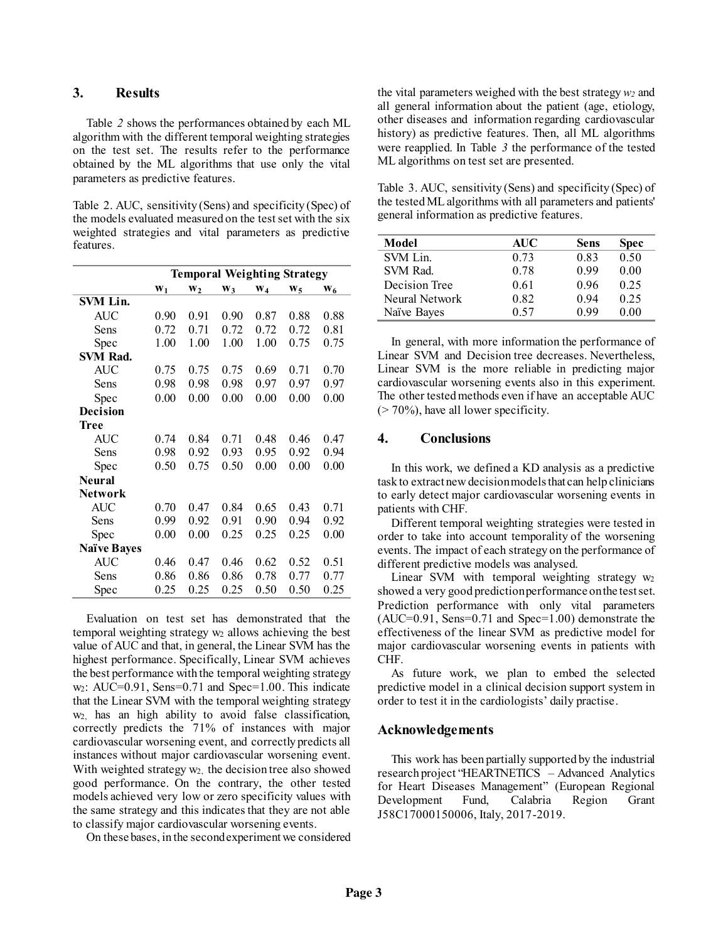### **3. Results**

[Table](#page-2-0) *2* shows the performances obtained by each ML algorithm with the different temporal weighting strategies on the test set. The results refer to the performance obtained by the ML algorithms that use only the vital parameters as predictive features.

<span id="page-2-0"></span>Table 2. AUC, sensitivity (Sens) and specificity (Spec) of the models evaluated measured on the test set with the six weighted strategies and vital parameters as predictive features.

|                    | <b>Temporal Weighting Strategy</b> |                |                |       |       |      |
|--------------------|------------------------------------|----------------|----------------|-------|-------|------|
|                    | $W_1$                              | W <sub>2</sub> | W <sub>3</sub> | $W_4$ | $W_5$ | W6   |
| <b>SVM Lin.</b>    |                                    |                |                |       |       |      |
| <b>AUC</b>         | 0.90                               | 0.91           | 0.90           | 0.87  | 0.88  | 0.88 |
| Sens               | 0.72                               | 0.71           | 0.72           | 0.72  | 0.72  | 0.81 |
| Spec               | 1.00                               | 1.00           | 1.00           | 1.00  | 0.75  | 0.75 |
| <b>SVM Rad.</b>    |                                    |                |                |       |       |      |
| AUC                | 0.75                               | 0.75           | 0.75           | 0.69  | 0.71  | 0.70 |
| Sens               | 0.98                               | 0.98           | 0.98           | 0.97  | 0.97  | 0.97 |
| Spec               | 0.00                               | 0.00           | 0.00           | 0.00  | 0.00  | 0.00 |
| <b>Decision</b>    |                                    |                |                |       |       |      |
| <b>Tree</b>        |                                    |                |                |       |       |      |
| <b>AUC</b>         | 0.74                               | 0.84           | 0.71           | 0.48  | 0.46  | 0.47 |
| Sens               | 0.98                               | 0.92           | 0.93           | 0.95  | 0.92  | 0.94 |
| Spec               | 0.50                               | 0.75           | 0.50           | 0.00  | 0.00  | 0.00 |
| <b>Neural</b>      |                                    |                |                |       |       |      |
| Network            |                                    |                |                |       |       |      |
| AUC                | 0.70                               | 0.47           | 0.84           | 0.65  | 0.43  | 0.71 |
| Sens               | 0.99                               | 0.92           | 0.91           | 0.90  | 0.94  | 0.92 |
| Spec               | 0.00                               | 0.00           | 0.25           | 0.25  | 0.25  | 0.00 |
| <b>Naïve Bayes</b> |                                    |                |                |       |       |      |
| <b>AUC</b>         | 0.46                               | 0.47           | 0.46           | 0.62  | 0.52  | 0.51 |
| Sens               | 0.86                               | 0.86           | 0.86           | 0.78  | 0.77  | 0.77 |
| Spec               | 0.25                               | 0.25           | 0.25           | 0.50  | 0.50  | 0.25 |

Evaluation on test set has demonstrated that the temporal weighting strategy w<sub>2</sub> allows achieving the best value of AUC and that, in general, the Linear SVM has the highest performance. Specifically, Linear SVM achieves the best performance with the temporal weighting strategy  $w_2$ : AUC=0.91, Sens=0.71 and Spec=1.00. This indicate that the Linear SVM with the temporal weighting strategy w2, has an high ability to avoid false classification, correctly predicts the 71% of instances with major cardiovascular worsening event, and correctly predicts all instances without major cardiovascular worsening event. With weighted strategy  $w_2$ , the decision tree also showed good performance. On the contrary, the other tested models achieved very low or zero specificity values with the same strategy and this indicates that they are not able to classify major cardiovascular worsening events.

On these bases, in the second experiment we considered

the vital parameters weighed with the best strategy*w<sup>2</sup>* and all general information about the patient (age, etiology, other diseases and information regarding cardiovascular history) as predictive features. Then, all ML algorithms were reapplied. In [Table](#page-2-1) *3* the performance of the tested ML algorithms on test set are presented.

<span id="page-2-1"></span>Table 3. AUC, sensitivity (Sens) and specificity (Spec) of the tested ML algorithms with all parameters and patients' general information as predictive features.

| Model          | AUC  | Sens | <b>Spec</b> |
|----------------|------|------|-------------|
| SVM Lin.       | 0.73 | 0.83 | 0.50        |
| SVM Rad.       | 0.78 | 0.99 | 0.00        |
| Decision Tree  | 0.61 | 0.96 | 0.25        |
| Neural Network | 0.82 | 0.94 | 0.25        |
| Naïve Bayes    | 0.57 | 0.99 | 0.00        |

In general, with more information the performance of Linear SVM and Decision tree decreases. Nevertheless, Linear SVM is the more reliable in predicting major cardiovascular worsening events also in this experiment. The other tested methods even if have an acceptable AUC  $($  > 70%), have all lower specificity.

## **4. Conclusions**

In this work, we defined a KD analysis as a predictive task to extract new decision models that can help clinicians to early detect major cardiovascular worsening events in patients with CHF.

Different temporal weighting strategies were tested in order to take into account temporality of the worsening events. The impact of each strategy on the performance of different predictive models was analysed.

Linear SVM with temporal weighting strategy w2 showed a very good prediction performance on the test set. Prediction performance with only vital parameters  $(AUC=0.91,$  Sens=0.71 and Spec=1.00) demonstrate the effectiveness of the linear SVM as predictive model for major cardiovascular worsening events in patients with CHF.

As future work, we plan to embed the selected predictive model in a clinical decision support system in order to test it in the cardiologists' daily practise.

## **Acknowledgements**

This work has been partially supported by the industrial research project "HEARTNETICS – Advanced Analytics for Heart Diseases Management" (European Regional Development Fund, Calabria Region Grant J58C17000150006, Italy, 2017-2019.